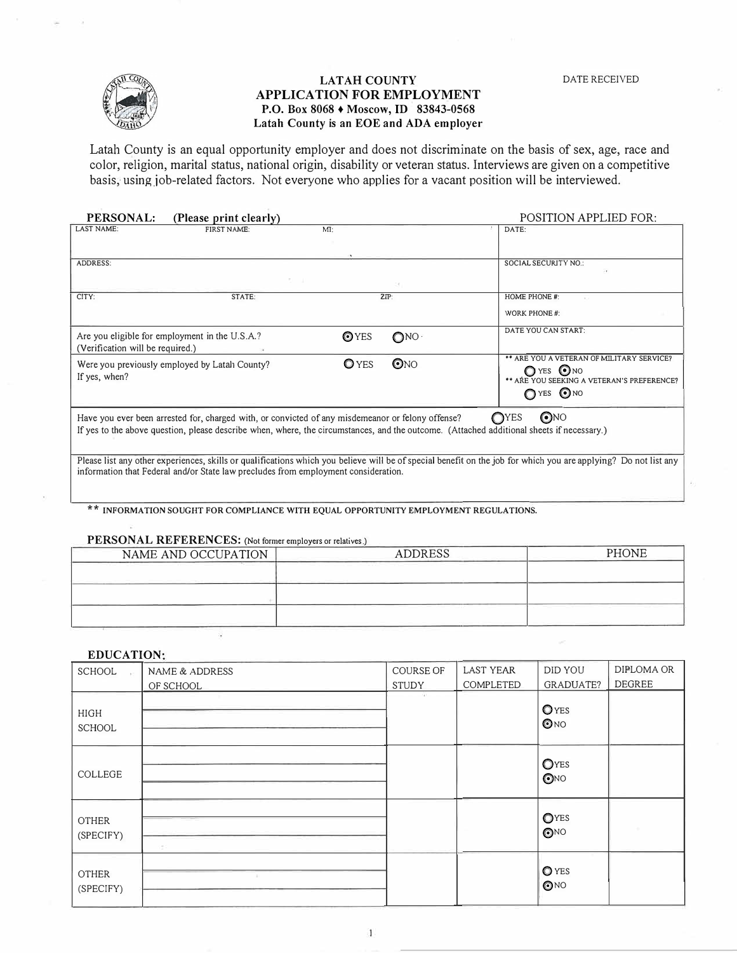

## LATAH COUNTY **APPLICATION FOR EMPLOYMENT P.O. Box 8068** + **Moscow,** ID **83843-0568 Latah County is an EOE and ADA employer**

Latah County is an equal opportunity employer and does not discriminate on the basis of sex, age, race and color, religion, marital status, national origin, disability or veteran status. Interviews are given on a competitive basis, using job-related factors. Not everyone who applies for a vacant position will be interviewed.

| PERSONAL:                        | (Please print clearly)                                                                                                                                                                                                                         |              |                 | <b>POSITION APPLIED FOR:</b>                                                                                                                                    |
|----------------------------------|------------------------------------------------------------------------------------------------------------------------------------------------------------------------------------------------------------------------------------------------|--------------|-----------------|-----------------------------------------------------------------------------------------------------------------------------------------------------------------|
| <b>LAST NAME:</b>                | FIRST NAME:                                                                                                                                                                                                                                    | $Mf$ :       |                 | DATE:                                                                                                                                                           |
| <b>ADDRESS:</b>                  | 한 미                                                                                                                                                                                                                                            |              |                 | SOCIAL SECURITY NO.:                                                                                                                                            |
| CITY:                            | STATE:                                                                                                                                                                                                                                         |              | ZIP:            | <b>HOME PHONE #:</b><br>WORK PHONE#:                                                                                                                            |
| (Verification will be required.) | Are you eligible for employment in the U.S.A.?                                                                                                                                                                                                 | <b>O</b> YES | $\bigcirc$ NO   | DATE YOU CAN START:                                                                                                                                             |
| If yes, when?                    | Were you previously employed by Latah County?                                                                                                                                                                                                  | $O$ YES      | $\mathbf{O}$ NO | ** ARE YOU A VETERAN OF MILITARY SERVICE?<br>O YES ONO<br>** ARE YOU SEEKING A VETERAN'S PREFERENCE?<br>OYES ONO                                                |
|                                  | Have you ever been arrested for, charged with, or convicted of any misdemeanor or felony offense?<br>If yes to the above question, please describe when, where, the circumstances, and the outcome. (Attached additional sheets if necessary.) |              |                 | $\bigodot$ NO<br>O <sub>YES</sub>                                                                                                                               |
|                                  | information that Federal and/or State law precludes from employment consideration.                                                                                                                                                             |              |                 | Please list any other experiences, skills or qualifications which you believe will be of special benefit on the job for which you are applying? Do not list any |

\*\* **INFORMATION SOUGHT FOR COMPLIANCE WITH EQUAL OPPORTUNITY EMPLOYMENT REGULATIONS.** 

## **PERSONAL REFERENCES:** (Not former employers or relatives.)

| <b>ADDRESS</b>                         | <b>PHONE</b>                              |
|----------------------------------------|-------------------------------------------|
| - 그는 아이가 아이들은 아이를 들어가는 것이 아니라 아이들이 있다. |                                           |
|                                        |                                           |
|                                        |                                           |
|                                        |                                           |
|                                        | 그는 아이들은 아이들은 아이들은 모두 모두 마을에 들어서 좋은 것이 없다. |

## **EDUCATION·**

| SCHOOL<br>$\sim$             | NAME & ADDRESS<br>OF SCHOOL | COURSE OF<br><b>STUDY</b> | <b>LAST YEAR</b><br>COMPLETED | DID YOU<br><b>GRADUATE?</b> | DIPLOMA OR<br><b>DEGREE</b> |
|------------------------------|-----------------------------|---------------------------|-------------------------------|-----------------------------|-----------------------------|
| <b>HIGH</b><br><b>SCHOOL</b> |                             | 14.1                      |                               | OYES<br>①N0                 |                             |
| COLLEGE                      |                             |                           |                               | OYES<br>$\bigodot$ NO       |                             |
| <b>OTHER</b><br>(SPECIFY)    | 95                          |                           |                               | OYES<br>$\odot$ NO          |                             |
| <b>OTHER</b><br>(SPECIFY)    | m                           |                           |                               | <b>O</b> YES<br>ONO         |                             |